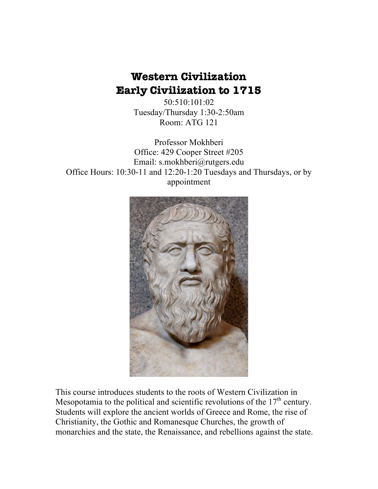# **Western Civilization Early Civilization to 1715**

50:510:101:02 Tuesday/Thursday 1:30-2:50am Room: ATG 121

Professor Mokhberi Office: 429 Cooper Street #205 Email: s.mokhberi@rutgers.edu Office Hours: 10:30-11 and 12:20-1:20 Tuesdays and Thursdays, or by appointment



This course introduces students to the roots of Western Civilization in Mesopotamia to the political and scientific revolutions of the  $17<sup>th</sup>$  century. Students will explore the ancient worlds of Greece and Rome, the rise of Christianity, the Gothic and Romanesque Churches, the growth of monarchies and the state, the Renaissance, and rebellions against the state.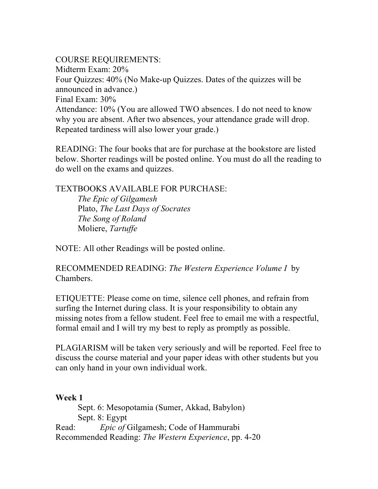COURSE REQUIREMENTS: Midterm Exam: 20% Four Quizzes: 40% (No Make-up Quizzes. Dates of the quizzes will be announced in advance.) Final Exam: 30% Attendance: 10% (You are allowed TWO absences. I do not need to know why you are absent. After two absences, your attendance grade will drop. Repeated tardiness will also lower your grade.)

READING: The four books that are for purchase at the bookstore are listed below. Shorter readings will be posted online. You must do all the reading to do well on the exams and quizzes.

TEXTBOOKS AVAILABLE FOR PURCHASE:

*The Epic of Gilgamesh* Plato, *The Last Days of Socrates The Song of Roland*  Moliere, *Tartuffe*

NOTE: All other Readings will be posted online.

RECOMMENDED READING: *The Western Experience Volume I* by Chambers.

ETIQUETTE: Please come on time, silence cell phones, and refrain from surfing the Internet during class. It is your responsibility to obtain any missing notes from a fellow student. Feel free to email me with a respectful, formal email and I will try my best to reply as promptly as possible.

PLAGIARISM will be taken very seriously and will be reported. Feel free to discuss the course material and your paper ideas with other students but you can only hand in your own individual work.

#### **Week 1**

Sept. 6: Mesopotamia (Sumer, Akkad, Babylon) Sept. 8: Egypt Read: *Epic of* Gilgamesh; Code of Hammurabi Recommended Reading: *The Western Experience*, pp. 4-20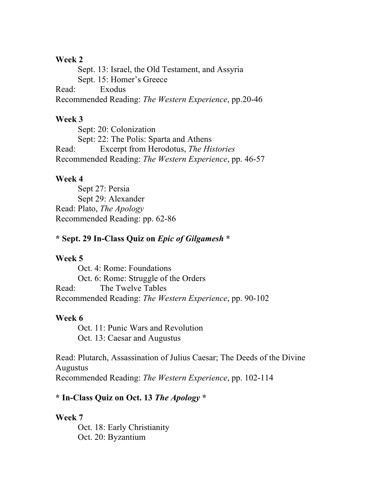#### **Week 2**

Sept. 13: Israel, the Old Testament, and Assyria Sept. 15: Homer's Greece Read: Exodus Recommended Reading: *The Western Experience*, pp.20-46

#### **Week 3**

Sept: 20: Colonization Sept: 22: The Polis: Sparta and Athens Read: Excerpt from Herodotus, *The Histories* Recommended Reading: *The Western Experience*, pp. 46-57

#### **Week 4**

Sept 27: Persia Sept 29: Alexander Read: Plato, *The Apology* Recommended Reading: pp. 62-86

#### **\* Sept. 29 In-Class Quiz on** *Epic of Gilgamesh* **\***

#### **Week 5**

Oct. 4: Rome: Foundations Oct. 6: Rome: Struggle of the Orders Read: The Twelve Tables Recommended Reading: *The Western Experience*, pp. 90-102

### **Week 6**

Oct. 11: Punic Wars and Revolution Oct. 13: Caesar and Augustus

Read: Plutarch, Assassination of Julius Caesar; The Deeds of the Divine Augustus Recommended Reading: *The Western Experience*, pp. 102-114

### **\* In-Class Quiz on Oct. 13** *The Apology* **\***

#### **Week 7**

Oct. 18: Early Christianity Oct. 20: Byzantium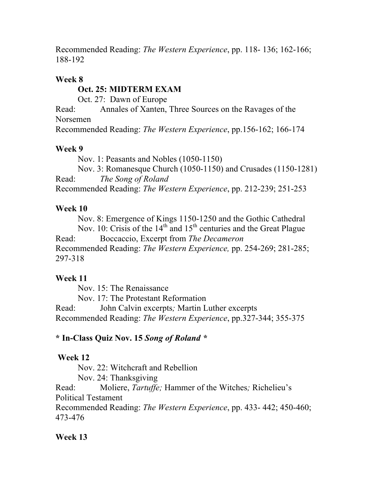Recommended Reading: *The Western Experience*, pp. 118- 136; 162-166; 188-192

#### **Week 8**

## **Oct. 25: MIDTERM EXAM**

Oct. 27: Dawn of Europe

Read: Annales of Xanten, Three Sources on the Ravages of the Norsemen

Recommended Reading: *The Western Experience*, pp.156-162; 166-174

## **Week 9**

Nov. 1: Peasants and Nobles (1050-1150)

Nov. 3: Romanesque Church (1050-1150) and Crusades (1150-1281) Read: *The Song of Roland* Recommended Reading: *The Western Experience*, pp. 212-239; 251-253

# **Week 10**

Nov. 8: Emergence of Kings 1150-1250 and the Gothic Cathedral Nov. 10: Crisis of the  $14<sup>th</sup>$  and  $15<sup>th</sup>$  centuries and the Great Plague Read: Boccaccio, Excerpt from *The Decameron* Recommended Reading: *The Western Experience,* pp. 254-269; 281-285; 297-318

# **Week 11**

Nov. 15: The Renaissance

Nov. 17: The Protestant Reformation

Read: John Calvin excerpts*;* Martin Luther excerpts Recommended Reading: *The Western Experience*, pp.327-344; 355-375

# **\* In-Class Quiz Nov. 15** *Song of Roland \**

# **Week 12**

Nov. 22: Witchcraft and Rebellion

Nov. 24: Thanksgiving

Read: Moliere, *Tartuffe;* Hammer of the Witches*;* Richelieu's Political Testament

Recommended Reading: *The Western Experience*, pp. 433- 442; 450-460; 473-476

# **Week 13**